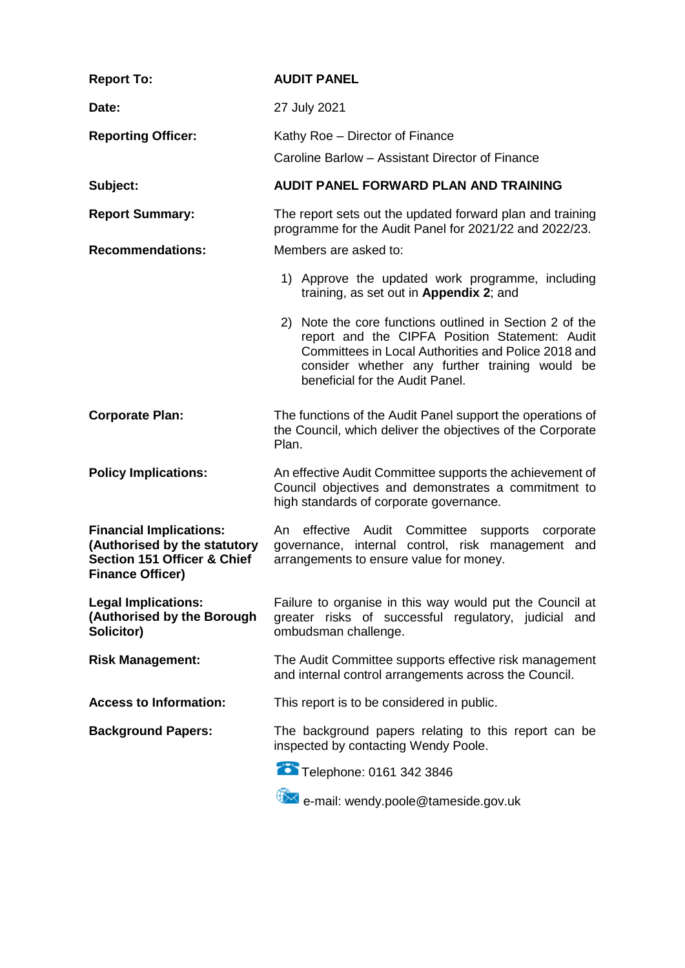| <b>Report To:</b>                                                                                                                   | <b>AUDIT PANEL</b>                                                                                                                                                                                                                                    |  |  |
|-------------------------------------------------------------------------------------------------------------------------------------|-------------------------------------------------------------------------------------------------------------------------------------------------------------------------------------------------------------------------------------------------------|--|--|
| Date:                                                                                                                               | 27 July 2021                                                                                                                                                                                                                                          |  |  |
| <b>Reporting Officer:</b>                                                                                                           | Kathy Roe - Director of Finance<br>Caroline Barlow - Assistant Director of Finance                                                                                                                                                                    |  |  |
| Subject:                                                                                                                            | <b>AUDIT PANEL FORWARD PLAN AND TRAINING</b>                                                                                                                                                                                                          |  |  |
| <b>Report Summary:</b>                                                                                                              | The report sets out the updated forward plan and training<br>programme for the Audit Panel for 2021/22 and 2022/23.                                                                                                                                   |  |  |
| <b>Recommendations:</b>                                                                                                             | Members are asked to:                                                                                                                                                                                                                                 |  |  |
|                                                                                                                                     | 1) Approve the updated work programme, including<br>training, as set out in Appendix 2; and                                                                                                                                                           |  |  |
|                                                                                                                                     | 2) Note the core functions outlined in Section 2 of the<br>report and the CIPFA Position Statement: Audit<br>Committees in Local Authorities and Police 2018 and<br>consider whether any further training would be<br>beneficial for the Audit Panel. |  |  |
| <b>Corporate Plan:</b>                                                                                                              | The functions of the Audit Panel support the operations of<br>the Council, which deliver the objectives of the Corporate<br>Plan.                                                                                                                     |  |  |
| <b>Policy Implications:</b>                                                                                                         | An effective Audit Committee supports the achievement of<br>Council objectives and demonstrates a commitment to<br>high standards of corporate governance.                                                                                            |  |  |
| <b>Financial Implications:</b><br>(Authorised by the statutory<br><b>Section 151 Officer &amp; Chief</b><br><b>Finance Officer)</b> | An effective Audit Committee supports corporate<br>governance, internal control, risk management and<br>arrangements to ensure value for money.                                                                                                       |  |  |
| <b>Legal Implications:</b><br>(Authorised by the Borough<br>Solicitor)                                                              | Failure to organise in this way would put the Council at<br>greater risks of successful regulatory, judicial and<br>ombudsman challenge.                                                                                                              |  |  |
| <b>Risk Management:</b>                                                                                                             | The Audit Committee supports effective risk management<br>and internal control arrangements across the Council.                                                                                                                                       |  |  |
| <b>Access to Information:</b>                                                                                                       | This report is to be considered in public.                                                                                                                                                                                                            |  |  |
| <b>Background Papers:</b>                                                                                                           | The background papers relating to this report can be<br>inspected by contacting Wendy Poole.                                                                                                                                                          |  |  |
|                                                                                                                                     | Telephone: 0161 342 3846                                                                                                                                                                                                                              |  |  |
|                                                                                                                                     | e-mail: wendy.poole@tameside.gov.uk                                                                                                                                                                                                                   |  |  |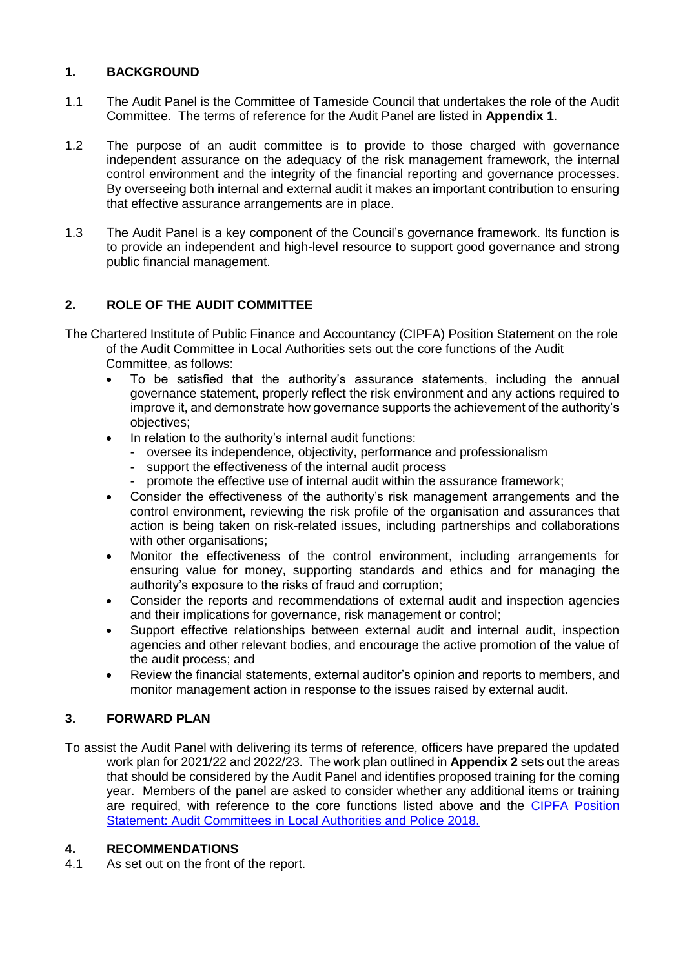## **1. BACKGROUND**

- 1.1 The Audit Panel is the Committee of Tameside Council that undertakes the role of the Audit Committee. The terms of reference for the Audit Panel are listed in **Appendix 1**.
- 1.2 The purpose of an audit committee is to provide to those charged with governance independent assurance on the adequacy of the risk management framework, the internal control environment and the integrity of the financial reporting and governance processes. By overseeing both internal and external audit it makes an important contribution to ensuring that effective assurance arrangements are in place.
- 1.3 The Audit Panel is a key component of the Council's governance framework. Its function is to provide an independent and high-level resource to support good governance and strong public financial management.

## **2. ROLE OF THE AUDIT COMMITTEE**

- The Chartered Institute of Public Finance and Accountancy (CIPFA) Position Statement on the role of the Audit Committee in Local Authorities sets out the core functions of the Audit Committee, as follows:
	- To be satisfied that the authority's assurance statements, including the annual governance statement, properly reflect the risk environment and any actions required to improve it, and demonstrate how governance supports the achievement of the authority's objectives;
	- In relation to the authority's internal audit functions:
		- oversee its independence, objectivity, performance and professionalism
		- support the effectiveness of the internal audit process
		- promote the effective use of internal audit within the assurance framework;
	- Consider the effectiveness of the authority's risk management arrangements and the control environment, reviewing the risk profile of the organisation and assurances that action is being taken on risk-related issues, including partnerships and collaborations with other organisations;
	- Monitor the effectiveness of the control environment, including arrangements for ensuring value for money, supporting standards and ethics and for managing the authority's exposure to the risks of fraud and corruption;
	- Consider the reports and recommendations of external audit and inspection agencies and their implications for governance, risk management or control;
	- Support effective relationships between external audit and internal audit, inspection agencies and other relevant bodies, and encourage the active promotion of the value of the audit process; and
	- Review the financial statements, external auditor's opinion and reports to members, and monitor management action in response to the issues raised by external audit.

## **3. FORWARD PLAN**

To assist the Audit Panel with delivering its terms of reference, officers have prepared the updated work plan for 2021/22 and 2022/23. The work plan outlined in **Appendix 2** sets out the areas that should be considered by the Audit Panel and identifies proposed training for the coming year. Members of the panel are asked to consider whether any additional items or training are required, with reference to the core functions listed above and the [CIPFA Position](https://www.cipfa.org/services/support-for-audit-committees)  [Statement: Audit Committees in Local Authorities and Police 2018.](https://www.cipfa.org/services/support-for-audit-committees)

## **4. RECOMMENDATIONS**

4.1 As set out on the front of the report.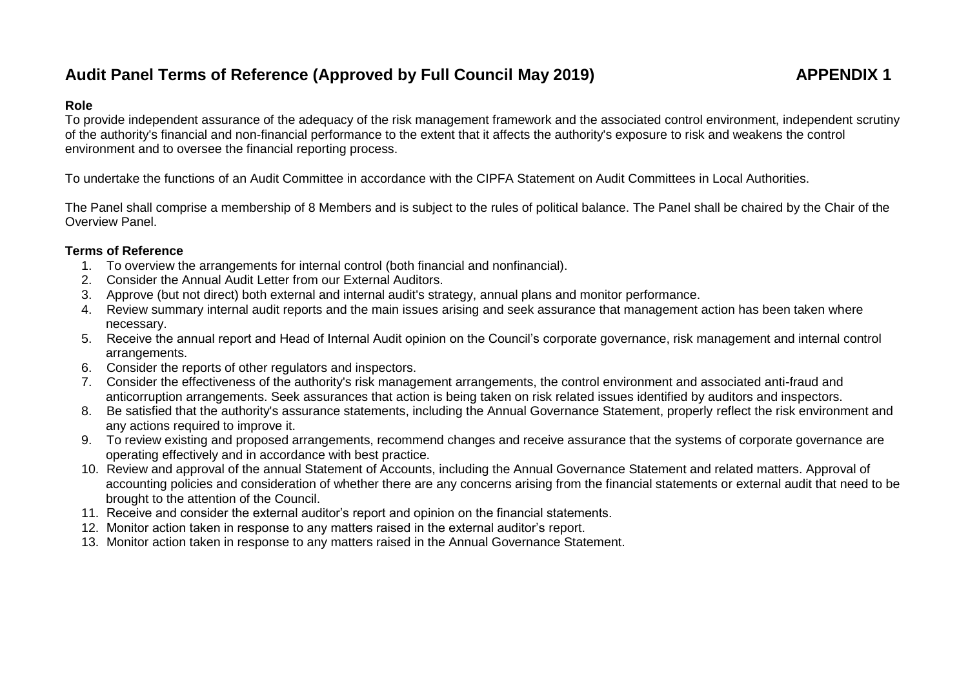# Audit Panel Terms of Reference (Approved by Full Council May 2019) **APPENDIX 1**

### **Role**

To provide independent assurance of the adequacy of the risk management framework and the associated control environment, independent scrutiny of the authority's financial and non-financial performance to the extent that it affects the authority's exposure to risk and weakens the control environment and to oversee the financial reporting process.

To undertake the functions of an Audit Committee in accordance with the CIPFA Statement on Audit Committees in Local Authorities.

The Panel shall comprise a membership of 8 Members and is subject to the rules of political balance. The Panel shall be chaired by the Chair of the Overview Panel.

## **Terms of Reference**

- 1. To overview the arrangements for internal control (both financial and nonfinancial).
- 2. Consider the Annual Audit Letter from our External Auditors.
- 3. Approve (but not direct) both external and internal audit's strategy, annual plans and monitor performance.
- 4. Review summary internal audit reports and the main issues arising and seek assurance that management action has been taken where necessary.
- 5. Receive the annual report and Head of Internal Audit opinion on the Council's corporate governance, risk management and internal control arrangements.
- 6. Consider the reports of other regulators and inspectors.
- 7. Consider the effectiveness of the authority's risk management arrangements, the control environment and associated anti-fraud and anticorruption arrangements. Seek assurances that action is being taken on risk related issues identified by auditors and inspectors.
- 8. Be satisfied that the authority's assurance statements, including the Annual Governance Statement, properly reflect the risk environment and any actions required to improve it.
- 9. To review existing and proposed arrangements, recommend changes and receive assurance that the systems of corporate governance are operating effectively and in accordance with best practice.
- 10. Review and approval of the annual Statement of Accounts, including the Annual Governance Statement and related matters. Approval of accounting policies and consideration of whether there are any concerns arising from the financial statements or external audit that need to be brought to the attention of the Council.
- 11. Receive and consider the external auditor's report and opinion on the financial statements.
- 12. Monitor action taken in response to any matters raised in the external auditor's report.
- 13. Monitor action taken in response to any matters raised in the Annual Governance Statement.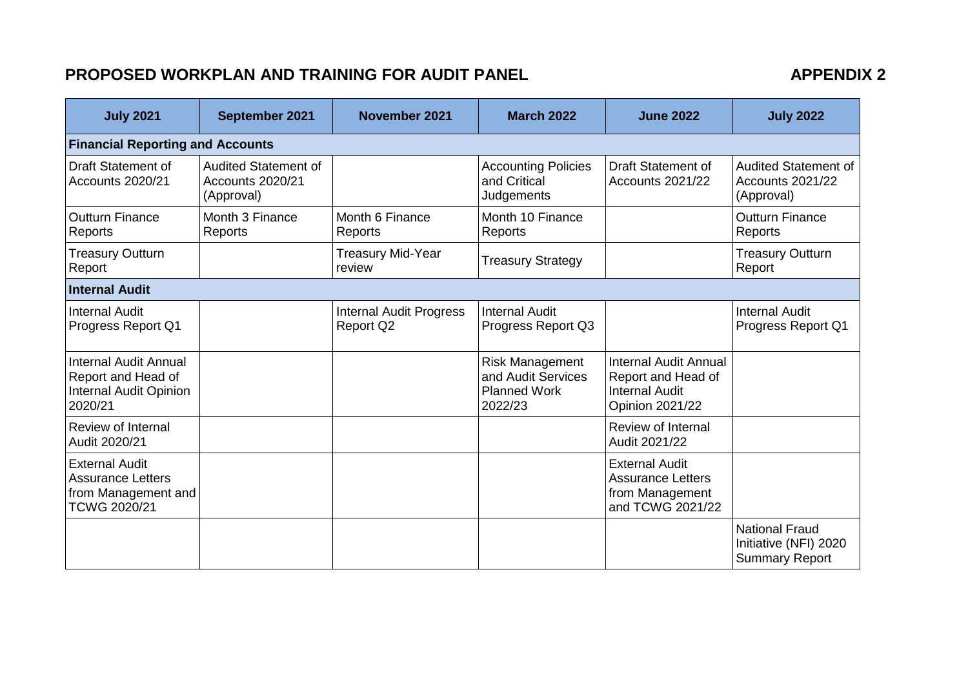## PROPOSED WORKPLAN AND TRAINING FOR AUDIT PANEL **APPENDIX 2**

| <b>July 2021</b>                                                                                | September 2021                                                | November 2021                                      | <b>March 2022</b>                                                              | <b>June 2022</b>                                                                                      | <b>July 2022</b>                                                        |  |  |
|-------------------------------------------------------------------------------------------------|---------------------------------------------------------------|----------------------------------------------------|--------------------------------------------------------------------------------|-------------------------------------------------------------------------------------------------------|-------------------------------------------------------------------------|--|--|
| <b>Financial Reporting and Accounts</b>                                                         |                                                               |                                                    |                                                                                |                                                                                                       |                                                                         |  |  |
| <b>Draft Statement of</b><br>Accounts 2020/21                                                   | <b>Audited Statement of</b><br>Accounts 2020/21<br>(Approval) |                                                    | <b>Accounting Policies</b><br>and Critical<br>Judgements                       | <b>Draft Statement of</b><br>Accounts 2021/22                                                         | <b>Audited Statement of</b><br>Accounts 2021/22<br>(Approval)           |  |  |
| <b>Outturn Finance</b><br>Reports                                                               | Month 3 Finance<br>Reports                                    | Month 6 Finance<br>Reports                         | Month 10 Finance<br>Reports                                                    |                                                                                                       | <b>Outturn Finance</b><br>Reports                                       |  |  |
| <b>Treasury Outturn</b><br>Report                                                               |                                                               | <b>Treasury Mid-Year</b><br>review                 | <b>Treasury Strategy</b>                                                       |                                                                                                       | <b>Treasury Outturn</b><br>Report                                       |  |  |
| <b>Internal Audit</b>                                                                           |                                                               |                                                    |                                                                                |                                                                                                       |                                                                         |  |  |
| <b>Internal Audit</b><br>Progress Report Q1                                                     |                                                               | <b>Internal Audit Progress</b><br><b>Report Q2</b> | <b>Internal Audit</b><br>Progress Report Q3                                    |                                                                                                       | <b>Internal Audit</b><br>Progress Report Q1                             |  |  |
| <b>Internal Audit Annual</b><br>Report and Head of<br>Internal Audit Opinion<br>2020/21         |                                                               |                                                    | <b>Risk Management</b><br>and Audit Services<br><b>Planned Work</b><br>2022/23 | <b>Internal Audit Annual</b><br>Report and Head of<br><b>Internal Audit</b><br><b>Opinion 2021/22</b> |                                                                         |  |  |
| <b>Review of Internal</b><br>Audit 2020/21                                                      |                                                               |                                                    |                                                                                | Review of Internal<br>Audit 2021/22                                                                   |                                                                         |  |  |
| <b>External Audit</b><br><b>Assurance Letters</b><br>from Management and<br><b>TCWG 2020/21</b> |                                                               |                                                    |                                                                                | <b>External Audit</b><br><b>Assurance Letters</b><br>from Management<br>and TCWG 2021/22              |                                                                         |  |  |
|                                                                                                 |                                                               |                                                    |                                                                                |                                                                                                       | <b>National Fraud</b><br>Initiative (NFI) 2020<br><b>Summary Report</b> |  |  |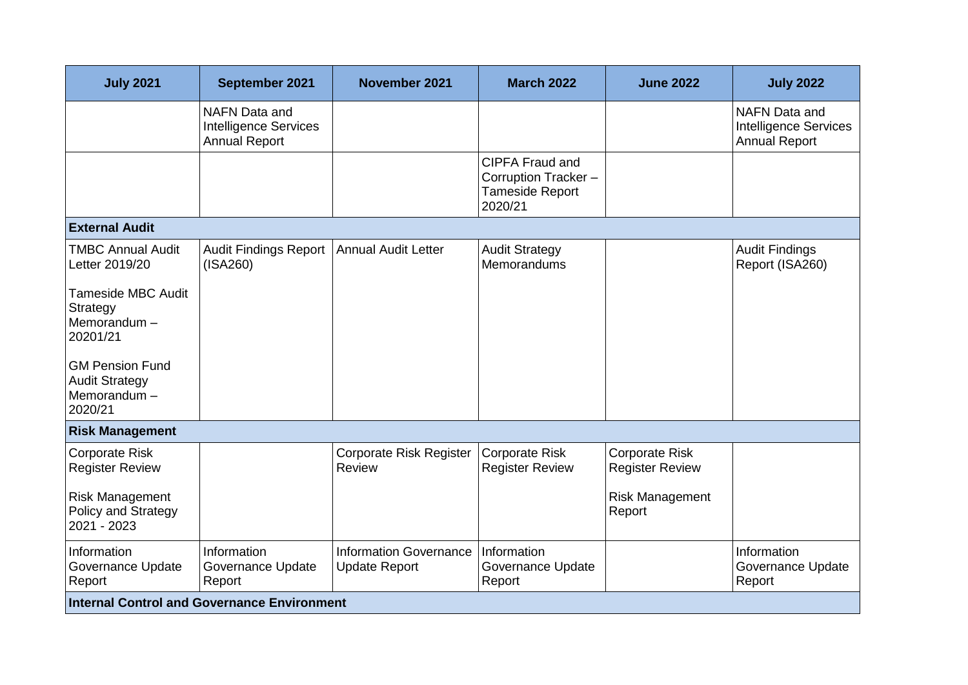| <b>July 2021</b>                                                          | September 2021                                                               | November 2021                                         | <b>March 2022</b>                                                           | <b>June 2022</b>                                | <b>July 2022</b>                                                             |
|---------------------------------------------------------------------------|------------------------------------------------------------------------------|-------------------------------------------------------|-----------------------------------------------------------------------------|-------------------------------------------------|------------------------------------------------------------------------------|
|                                                                           | <b>NAFN Data and</b><br><b>Intelligence Services</b><br><b>Annual Report</b> |                                                       |                                                                             |                                                 | <b>NAFN Data and</b><br><b>Intelligence Services</b><br><b>Annual Report</b> |
|                                                                           |                                                                              |                                                       | <b>CIPFA Fraud and</b><br>Corruption Tracker-<br>Tameside Report<br>2020/21 |                                                 |                                                                              |
| <b>External Audit</b>                                                     |                                                                              |                                                       |                                                                             |                                                 |                                                                              |
| <b>TMBC Annual Audit</b><br>Letter 2019/20                                | <b>Audit Findings Report</b><br>(ISA260)                                     | <b>Annual Audit Letter</b>                            | <b>Audit Strategy</b><br>Memorandums                                        |                                                 | <b>Audit Findings</b><br>Report (ISA260)                                     |
| <b>Tameside MBC Audit</b><br>Strategy<br>Memorandum-<br>20201/21          |                                                                              |                                                       |                                                                             |                                                 |                                                                              |
| <b>GM Pension Fund</b><br><b>Audit Strategy</b><br>Memorandum-<br>2020/21 |                                                                              |                                                       |                                                                             |                                                 |                                                                              |
| <b>Risk Management</b>                                                    |                                                                              |                                                       |                                                                             |                                                 |                                                                              |
| <b>Corporate Risk</b><br><b>Register Review</b>                           |                                                                              | <b>Corporate Risk Register</b><br><b>Review</b>       | <b>Corporate Risk</b><br><b>Register Review</b>                             | <b>Corporate Risk</b><br><b>Register Review</b> |                                                                              |
| <b>Risk Management</b><br>Policy and Strategy<br>2021 - 2023              |                                                                              |                                                       |                                                                             | <b>Risk Management</b><br>Report                |                                                                              |
| Information<br>Governance Update<br>Report                                | Information<br>Governance Update<br>Report                                   | <b>Information Governance</b><br><b>Update Report</b> | Information<br>Governance Update<br>Report                                  |                                                 | Information<br>Governance Update<br>Report                                   |
| <b>Internal Control and Governance Environment</b>                        |                                                                              |                                                       |                                                                             |                                                 |                                                                              |